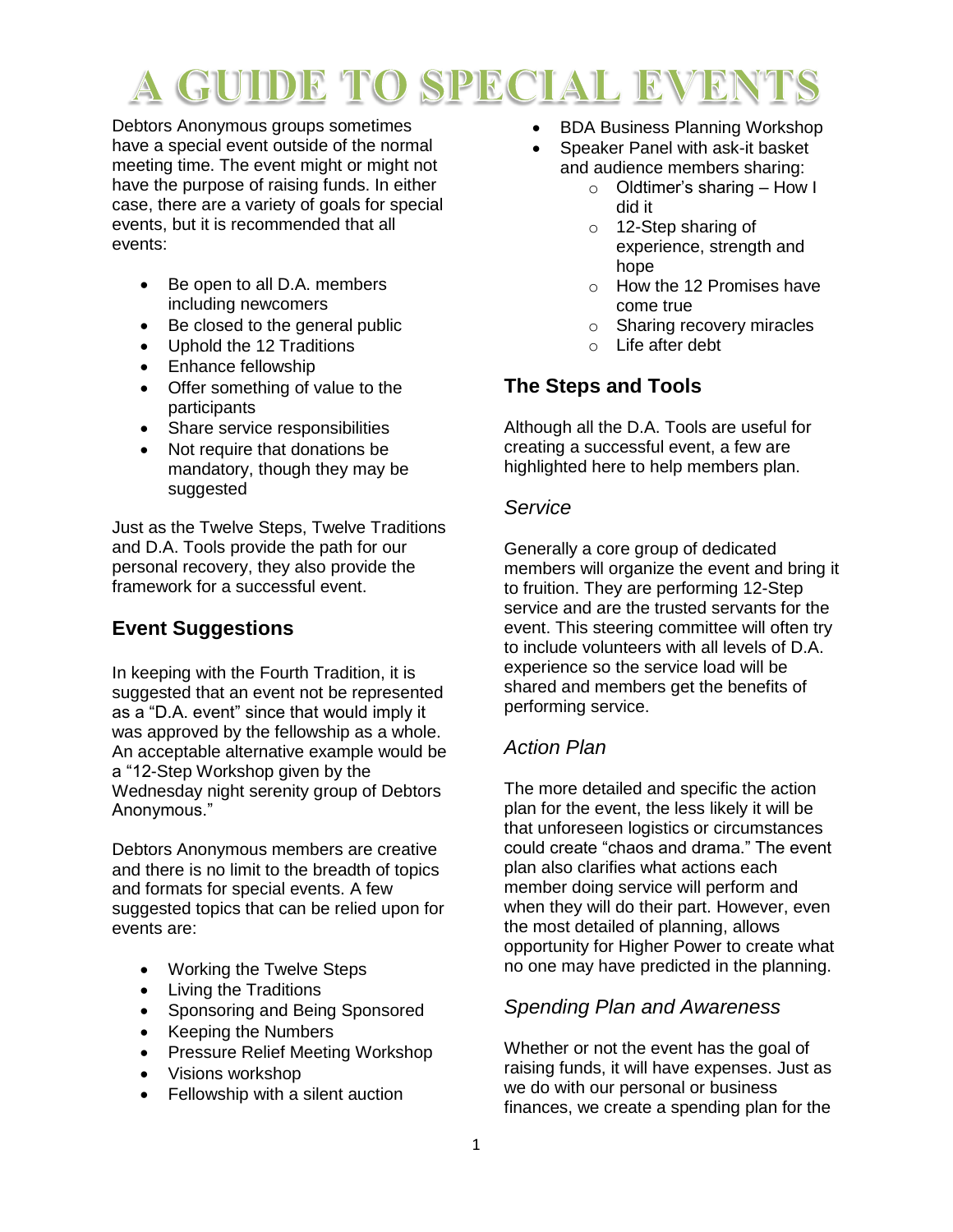# GUIDE TO SPECIAL EVEI

Debtors Anonymous groups sometimes have a special event outside of the normal meeting time. The event might or might not have the purpose of raising funds. In either case, there are a variety of goals for special events, but it is recommended that all events:

- Be open to all D.A. members including newcomers
- Be closed to the general public
- Uphold the 12 Traditions
- Enhance fellowship
- Offer something of value to the participants
- Share service responsibilities
- Not require that donations be mandatory, though they may be suggested

Just as the Twelve Steps, Twelve Traditions and D.A. Tools provide the path for our personal recovery, they also provide the framework for a successful event.

# **Event Suggestions**

In keeping with the Fourth Tradition, it is suggested that an event not be represented as a "D.A. event" since that would imply it was approved by the fellowship as a whole. An acceptable alternative example would be a "12-Step Workshop given by the Wednesday night serenity group of Debtors Anonymous."

Debtors Anonymous members are creative and there is no limit to the breadth of topics and formats for special events. A few suggested topics that can be relied upon for events are:

- Working the Twelve Steps
- Living the Traditions
- Sponsoring and Being Sponsored
- Keeping the Numbers
- Pressure Relief Meeting Workshop
- Visions workshop
- Fellowship with a silent auction
- BDA Business Planning Workshop
	- Speaker Panel with ask-it basket and audience members sharing:
		- o Oldtimer's sharing How I did it
		- o 12-Step sharing of experience, strength and hope
		- o How the 12 Promises have come true
		- o Sharing recovery miracles
		- o Life after debt

## **The Steps and Tools**

Although all the D.A. Tools are useful for creating a successful event, a few are highlighted here to help members plan.

### *Service*

Generally a core group of dedicated members will organize the event and bring it to fruition. They are performing 12-Step service and are the trusted servants for the event. This steering committee will often try to include volunteers with all levels of D.A. experience so the service load will be shared and members get the benefits of performing service.

### *Action Plan*

The more detailed and specific the action plan for the event, the less likely it will be that unforeseen logistics or circumstances could create "chaos and drama." The event plan also clarifies what actions each member doing service will perform and when they will do their part. However, even the most detailed of planning, allows opportunity for Higher Power to create what no one may have predicted in the planning.

### *Spending Plan and Awareness*

Whether or not the event has the goal of raising funds, it will have expenses. Just as we do with our personal or business finances, we create a spending plan for the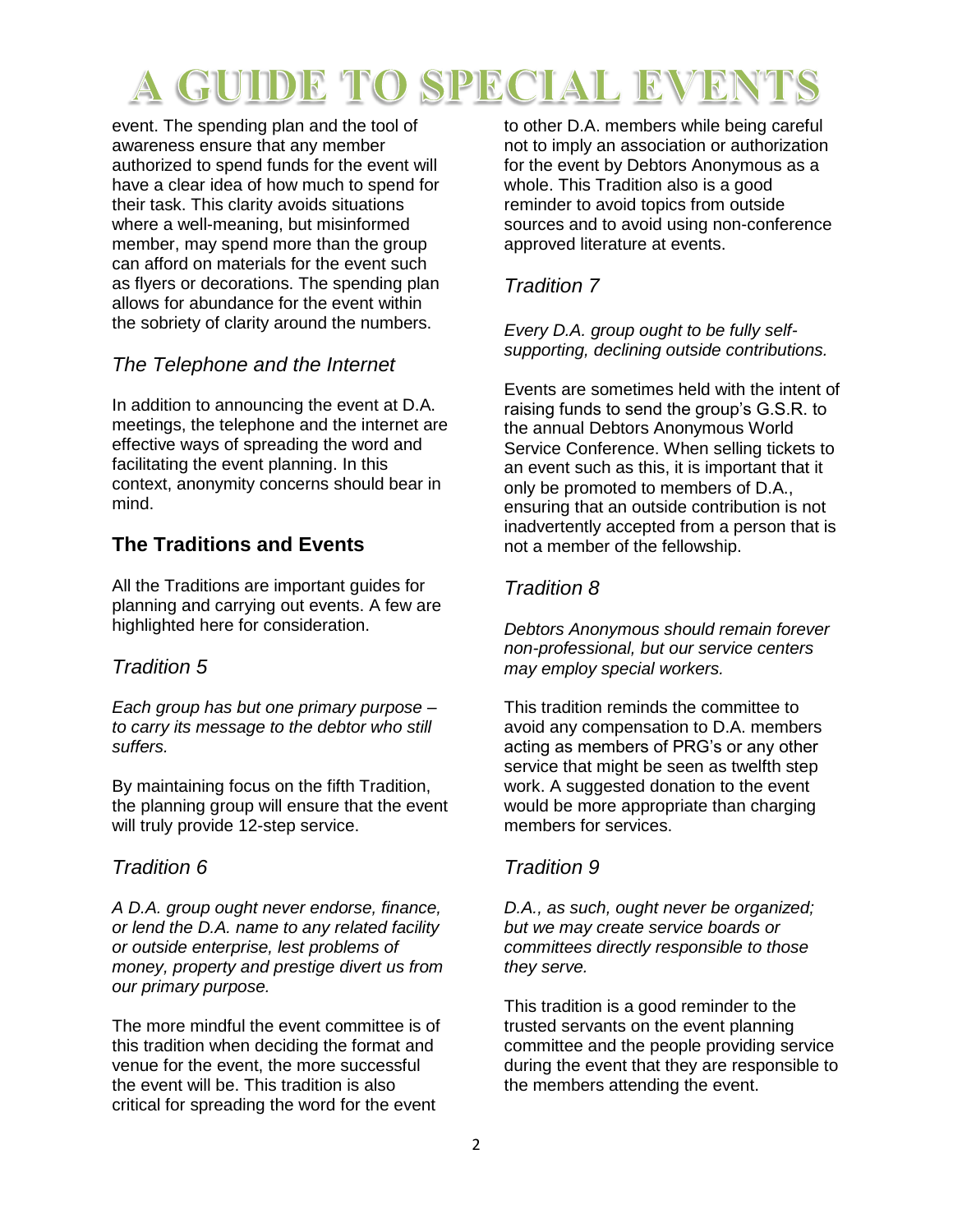# GUIDE TO SPECIAL EVEI

event. The spending plan and the tool of awareness ensure that any member authorized to spend funds for the event will have a clear idea of how much to spend for their task. This clarity avoids situations where a well-meaning, but misinformed member, may spend more than the group can afford on materials for the event such as flyers or decorations. The spending plan allows for abundance for the event within the sobriety of clarity around the numbers.

## *The Telephone and the Internet*

In addition to announcing the event at D.A. meetings, the telephone and the internet are effective ways of spreading the word and facilitating the event planning. In this context, anonymity concerns should bear in mind.

## **The Traditions and Events**

All the Traditions are important guides for planning and carrying out events. A few are highlighted here for consideration.

### *Tradition 5*

*Each group has but one primary purpose – to carry its message to the debtor who still suffers.* 

By maintaining focus on the fifth Tradition, the planning group will ensure that the event will truly provide 12-step service.

### *Tradition 6*

*A D.A. group ought never endorse, finance, or lend the D.A. name to any related facility or outside enterprise, lest problems of money, property and prestige divert us from our primary purpose.* 

The more mindful the event committee is of this tradition when deciding the format and venue for the event, the more successful the event will be. This tradition is also critical for spreading the word for the event

to other D.A. members while being careful not to imply an association or authorization for the event by Debtors Anonymous as a whole. This Tradition also is a good reminder to avoid topics from outside sources and to avoid using non-conference approved literature at events.

## *Tradition 7*

*Every D.A. group ought to be fully selfsupporting, declining outside contributions.* 

Events are sometimes held with the intent of raising funds to send the group's G.S.R. to the annual Debtors Anonymous World Service Conference. When selling tickets to an event such as this, it is important that it only be promoted to members of D.A., ensuring that an outside contribution is not inadvertently accepted from a person that is not a member of the fellowship.

## *Tradition 8*

*Debtors Anonymous should remain forever non-professional, but our service centers may employ special workers.* 

This tradition reminds the committee to avoid any compensation to D.A. members acting as members of PRG's or any other service that might be seen as twelfth step work. A suggested donation to the event would be more appropriate than charging members for services.

## *Tradition 9*

*D.A., as such, ought never be organized; but we may create service boards or committees directly responsible to those they serve.* 

This tradition is a good reminder to the trusted servants on the event planning committee and the people providing service during the event that they are responsible to the members attending the event.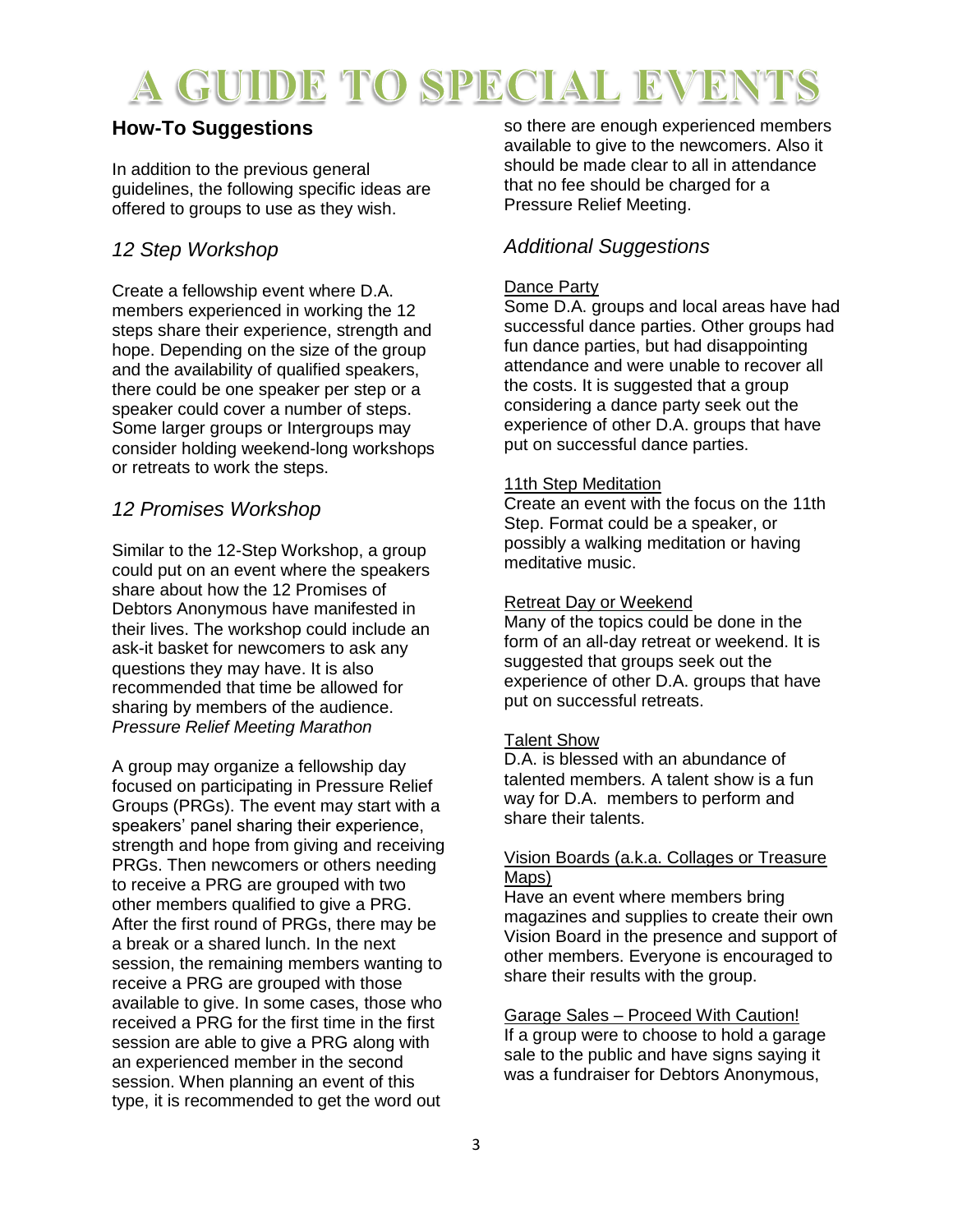# A GUIDE TO SPECIAL EVEN

# **How-To Suggestions**

In addition to the previous general guidelines, the following specific ideas are offered to groups to use as they wish.

# *12 Step Workshop*

Create a fellowship event where D.A. members experienced in working the 12 steps share their experience, strength and hope. Depending on the size of the group and the availability of qualified speakers, there could be one speaker per step or a speaker could cover a number of steps. Some larger groups or Intergroups may consider holding weekend-long workshops or retreats to work the steps.

## *12 Promises Workshop*

Similar to the 12-Step Workshop, a group could put on an event where the speakers share about how the 12 Promises of Debtors Anonymous have manifested in their lives. The workshop could include an ask-it basket for newcomers to ask any questions they may have. It is also recommended that time be allowed for sharing by members of the audience. *Pressure Relief Meeting Marathon* 

A group may organize a fellowship day focused on participating in Pressure Relief Groups (PRGs). The event may start with a speakers' panel sharing their experience, strength and hope from giving and receiving PRGs. Then newcomers or others needing to receive a PRG are grouped with two other members qualified to give a PRG. After the first round of PRGs, there may be a break or a shared lunch. In the next session, the remaining members wanting to receive a PRG are grouped with those available to give. In some cases, those who received a PRG for the first time in the first session are able to give a PRG along with an experienced member in the second session. When planning an event of this type, it is recommended to get the word out

so there are enough experienced members available to give to the newcomers. Also it should be made clear to all in attendance that no fee should be charged for a Pressure Relief Meeting.

# *Additional Suggestions*

### Dance Party

Some D.A. groups and local areas have had successful dance parties. Other groups had fun dance parties, but had disappointing attendance and were unable to recover all the costs. It is suggested that a group considering a dance party seek out the experience of other D.A. groups that have put on successful dance parties.

#### 11th Step Meditation

Create an event with the focus on the 11th Step. Format could be a speaker, or possibly a walking meditation or having meditative music.

#### Retreat Day or Weekend

Many of the topics could be done in the form of an all-day retreat or weekend. It is suggested that groups seek out the experience of other D.A. groups that have put on successful retreats.

#### Talent Show

D.A. is blessed with an abundance of talented members. A talent show is a fun way for D.A. members to perform and share their talents.

#### Vision Boards (a.k.a. Collages or Treasure Maps)

Have an event where members bring magazines and supplies to create their own Vision Board in the presence and support of other members. Everyone is encouraged to share their results with the group.

Garage Sales – Proceed With Caution! If a group were to choose to hold a garage sale to the public and have signs saying it was a fundraiser for Debtors Anonymous,